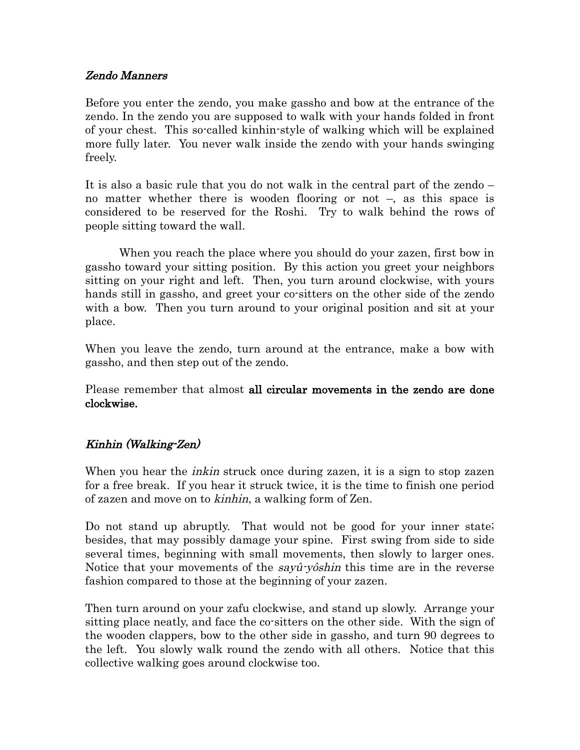## Zendo Manners

Before you enter the zendo, you make gassho and bow at the entrance of the zendo. In the zendo you are supposed to walk with your hands folded in front of your chest. This so-called kinhin-style of walking which will be explained more fully later. You never walk inside the zendo with your hands swinging freely.

It is also a basic rule that you do not walk in the central part of the zendo – no matter whether there is wooden flooring or not –, as this space is considered to be reserved for the Roshi. Try to walk behind the rows of people sitting toward the wall.

When you reach the place where you should do your zazen, first bow in gassho toward your sitting position. By this action you greet your neighbors sitting on your right and left. Then, you turn around clockwise, with yours hands still in gassho, and greet your co-sitters on the other side of the zendo with a bow. Then you turn around to your original position and sit at your place.

When you leave the zendo, turn around at the entrance, make a bow with gassho, and then step out of the zendo.

Please remember that almost all circular movements in the zendo are done clockwise.

## Kinhin (Walking-Zen)

When you hear the *inkin* struck once during zazen, it is a sign to stop zazen for a free break. If you hear it struck twice, it is the time to finish one period of zazen and move on to kinhin, a walking form of Zen.

Do not stand up abruptly. That would not be good for your inner state; besides, that may possibly damage your spine. First swing from side to side several times, beginning with small movements, then slowly to larger ones. Notice that your movements of the *sayû-yôshin* this time are in the reverse fashion compared to those at the beginning of your zazen.

Then turn around on your zafu clockwise, and stand up slowly. Arrange your sitting place neatly, and face the co-sitters on the other side. With the sign of the wooden clappers, bow to the other side in gassho, and turn 90 degrees to the left. You slowly walk round the zendo with all others. Notice that this collective walking goes around clockwise too.